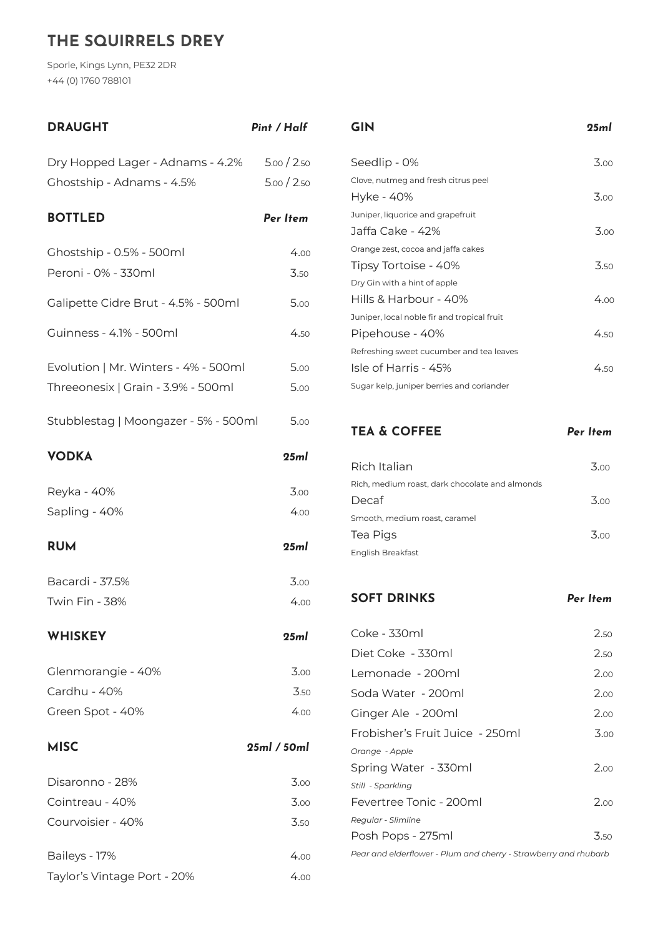## **THE SQUIRRELS DREY**

Sporle, Kings Lynn, PE32 2DR +44 (0) 1760 788101

| <b>DRAUGHT</b>                       | Pint / Half |
|--------------------------------------|-------------|
| Dry Hopped Lager - Adnams - 4.2%     | 5.00 / 2.50 |
| Ghostship - Adnams - 4.5%            | 5.00 / 2.50 |
| <b>BOTTLED</b>                       | Per Item    |
| Ghostship - 0.5% - 500ml             | 4.00        |
| Peroni - 0% - 330ml                  | 3.50        |
| Galipette Cidre Brut - 4.5% - 500ml  | 5.00        |
| Guinness - 4.1% - 500ml              | 4.50        |
| Evolution   Mr. Winters - 4% - 500ml | 5.00        |
| Threeonesix   Grain - 3.9% - 500ml   | 5.00        |
| Stubblestag   Moongazer - 5% - 500ml | 5.00        |
| <b>VODKA</b>                         | 25ml        |
| Reyka - 40%                          | 3.00        |
| Sapling - 40%                        | 4.00        |
| <b>RUM</b>                           | 25ml        |
| Bacardi - 37.5%                      | 3.00        |
| <b>Twin Fin - 38%</b>                | 4.00        |
| <b>WHISKEY</b>                       | 25ml        |
| Glenmorangie - 40%                   | 3.00        |
| Cardhu - 40%                         | 3.50        |
| Green Spot - 40%                     | 4.00        |
| <b>MISC</b>                          | 25ml/50ml   |
| Disaronno - 28%                      | 3.00        |
| Cointreau - 40%                      | 3.00        |
| Courvoisier - 40%                    | 3.50        |
| Baileys - 17%                        | 4.00        |
| Taylor's Vintage Port - 20%          | 4.00        |

**GIN** *25ml*

| Seedlip - 0%                                | 3.00 |
|---------------------------------------------|------|
| Clove, nutmeg and fresh citrus peel         |      |
| Hyke - 40%                                  | 3.00 |
| Juniper, liquorice and grapefruit           |      |
| Jaffa Cake - 42%                            | 3.00 |
| Orange zest, cocoa and jaffa cakes          |      |
| Tipsy Tortoise - 40%                        | 3.50 |
| Dry Gin with a hint of apple                |      |
| Hills & Harbour - 40%                       | 400  |
| Juniper, local noble fir and tropical fruit |      |
| Pipehouse - 40%                             | 450  |
| Refreshing sweet cucumber and tea leaves    |      |
| Isle of Harris - 45%                        | 450  |
| Sugar kelp, juniper berries and coriander   |      |

## **TEA & COFFEE** *Per Item*

| Rich Italian                                   | 3.00 |
|------------------------------------------------|------|
| Rich, medium roast, dark chocolate and almonds |      |
| Decaf                                          | 3.00 |
| Smooth, medium roast, caramel                  |      |
| Tea Pigs                                       | 3.00 |
| English Breakfast                              |      |

**SOFT DRINKS** *Per Item*

| Coke - 330ml                                                    | 2.50 |
|-----------------------------------------------------------------|------|
| Diet Coke - 330ml                                               | 2.50 |
| Lemonade - 200ml                                                | 2.00 |
| Soda Water - 200ml                                              | 2.00 |
| Ginger Ale - 200ml                                              | 2.00 |
| Frobisher's Fruit Juice - 250ml                                 | 3.00 |
| Orange - Apple                                                  |      |
| Spring Water - 330ml                                            | 2.00 |
| Still - Sparkling                                               |      |
| Fevertree Tonic - 200ml                                         | 200  |
| Regular - Slimline                                              |      |
| Posh Pops - 275ml                                               | 3.50 |
| Pear and elderflower - Plum and cherry - Strawberry and rhubarb |      |
|                                                                 |      |